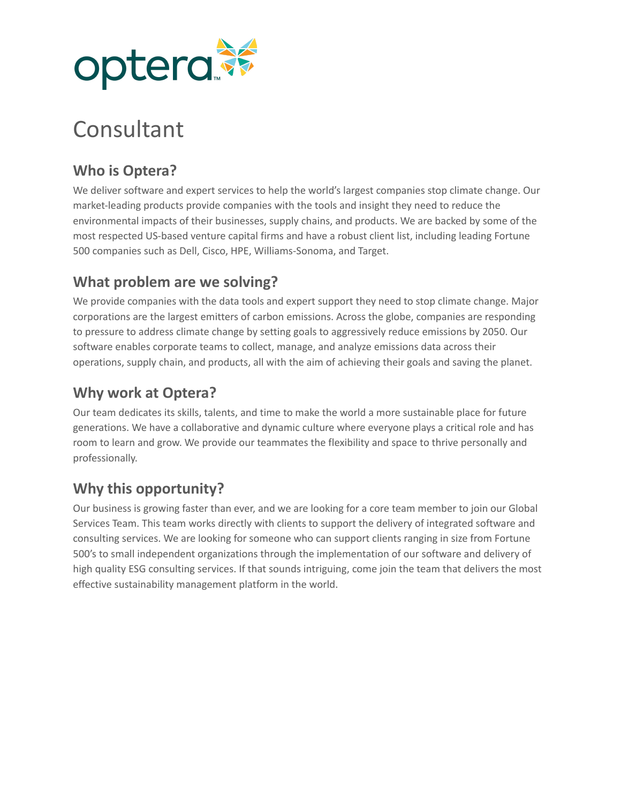

# Consultant

## **Who is Optera?**

We deliver software and expert services to help the world's largest companies stop climate change. Our market-leading products provide companies with the tools and insight they need to reduce the environmental impacts of their businesses, supply chains, and products. We are backed by some of the most respected US-based venture capital firms and have a robust client list, including leading Fortune 500 companies such as Dell, Cisco, HPE, Williams-Sonoma, and Target.

#### **What problem are we solving?**

We provide companies with the data tools and expert support they need to stop climate change. Major corporations are the largest emitters of carbon emissions. Across the globe, companies are responding to pressure to address climate change by setting goals to aggressively reduce emissions by 2050. Our software enables corporate teams to collect, manage, and analyze emissions data across their operations, supply chain, and products, all with the aim of achieving their goals and saving the planet.

#### **Why work at Optera?**

Our team dedicates its skills, talents, and time to make the world a more sustainable place for future generations. We have a collaborative and dynamic culture where everyone plays a critical role and has room to learn and grow. We provide our teammates the flexibility and space to thrive personally and professionally.

## **Why this opportunity?**

Our business is growing faster than ever, and we are looking for a core team member to join our Global Services Team. This team works directly with clients to support the delivery of integrated software and consulting services. We are looking for someone who can support clients ranging in size from Fortune 500's to small independent organizations through the implementation of our software and delivery of high quality ESG consulting services. If that sounds intriguing, come join the team that delivers the most effective sustainability management platform in the world.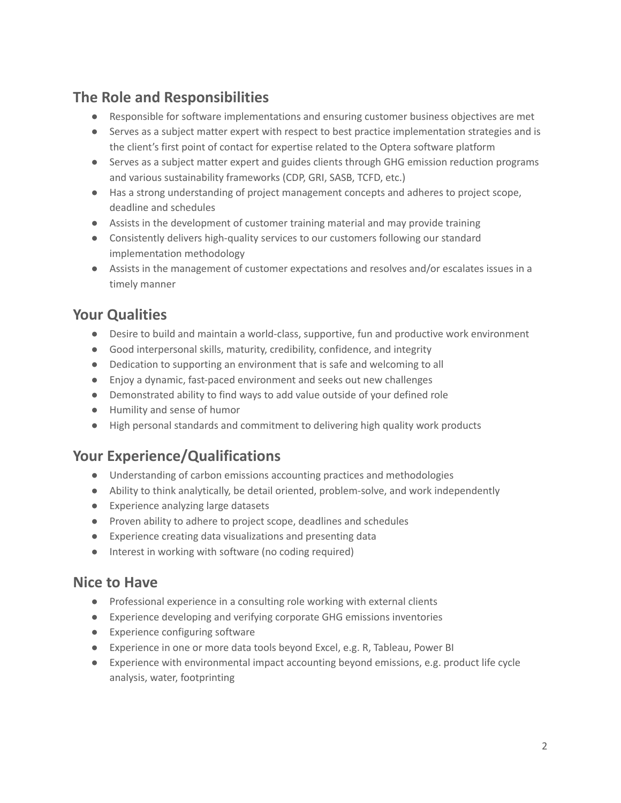### **The Role and Responsibilities**

- Responsible for software implementations and ensuring customer business objectives are met
- Serves as a subject matter expert with respect to best practice implementation strategies and is the client's first point of contact for expertise related to the Optera software platform
- Serves as a subject matter expert and guides clients through GHG emission reduction programs and various sustainability frameworks (CDP, GRI, SASB, TCFD, etc.)
- Has a strong understanding of project management concepts and adheres to project scope, deadline and schedules
- Assists in the development of customer training material and may provide training
- Consistently delivers high-quality services to our customers following our standard implementation methodology
- Assists in the management of customer expectations and resolves and/or escalates issues in a timely manner

#### **Your Qualities**

- Desire to build and maintain a world-class, supportive, fun and productive work environment
- Good interpersonal skills, maturity, credibility, confidence, and integrity
- Dedication to supporting an environment that is safe and welcoming to all
- Enjoy a dynamic, fast-paced environment and seeks out new challenges
- Demonstrated ability to find ways to add value outside of your defined role
- Humility and sense of humor
- High personal standards and commitment to delivering high quality work products

#### **Your Experience/Qualifications**

- Understanding of carbon emissions accounting practices and methodologies
- Ability to think analytically, be detail oriented, problem-solve, and work independently
- Experience analyzing large datasets
- Proven ability to adhere to project scope, deadlines and schedules
- Experience creating data visualizations and presenting data
- Interest in working with software (no coding required)

#### **Nice to Have**

- Professional experience in a consulting role working with external clients
- Experience developing and verifying corporate GHG emissions inventories
- Experience configuring software
- Experience in one or more data tools beyond Excel, e.g. R, Tableau, Power BI
- Experience with environmental impact accounting beyond emissions, e.g. product life cycle analysis, water, footprinting